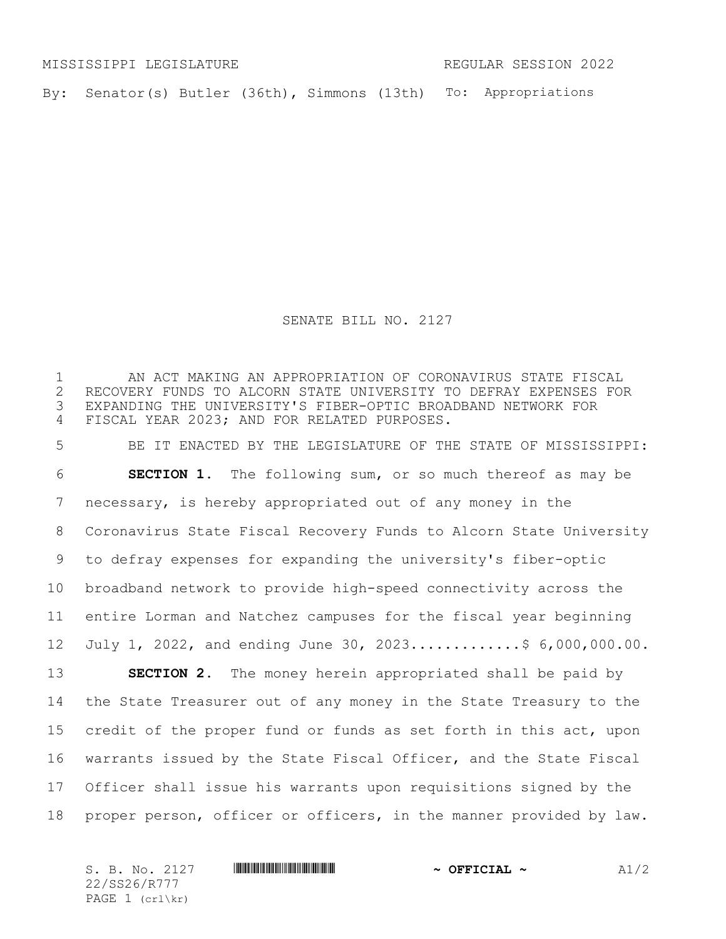MISSISSIPPI LEGISLATURE REGULAR SESSION 2022

By: Senator(s) Butler (36th), Simmons (13th) To: Appropriations

SENATE BILL NO. 2127

 AN ACT MAKING AN APPROPRIATION OF CORONAVIRUS STATE FISCAL RECOVERY FUNDS TO ALCORN STATE UNIVERSITY TO DEFRAY EXPENSES FOR EXPANDING THE UNIVERSITY'S FIBER-OPTIC BROADBAND NETWORK FOR FISCAL YEAR 2023; AND FOR RELATED PURPOSES.

 BE IT ENACTED BY THE LEGISLATURE OF THE STATE OF MISSISSIPPI: **SECTION 1.** The following sum, or so much thereof as may be necessary, is hereby appropriated out of any money in the Coronavirus State Fiscal Recovery Funds to Alcorn State University to defray expenses for expanding the university's fiber-optic broadband network to provide high-speed connectivity across the entire Lorman and Natchez campuses for the fiscal year beginning July 1, 2022, and ending June 30, 2023.............\$ 6,000,000.00.

 **SECTION 2.** The money herein appropriated shall be paid by the State Treasurer out of any money in the State Treasury to the credit of the proper fund or funds as set forth in this act, upon warrants issued by the State Fiscal Officer, and the State Fiscal Officer shall issue his warrants upon requisitions signed by the proper person, officer or officers, in the manner provided by law.

S. B. No. 2127 \*SS26/R777\* **~ OFFICIAL ~** A1/2 22/SS26/R777 PAGE 1 (crl\kr)